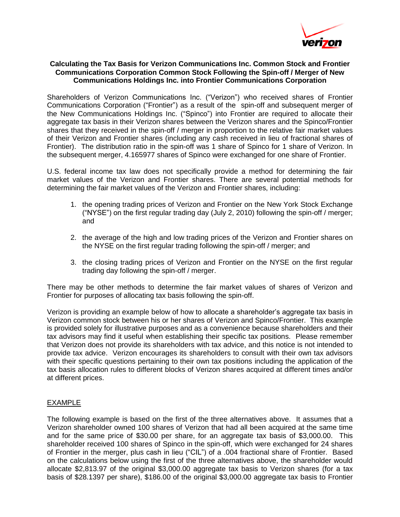

## **Calculating the Tax Basis for Verizon Communications Inc. Common Stock and Frontier Communications Corporation Common Stock Following the Spin-off / Merger of New Communications Holdings Inc. into Frontier Communications Corporation**

Shareholders of Verizon Communications Inc. ("Verizon") who received shares of Frontier Communications Corporation ("Frontier") as a result of the spin-off and subsequent merger of the New Communications Holdings Inc. ("Spinco") into Frontier are required to allocate their aggregate tax basis in their Verizon shares between the Verizon shares and the Spinco/Frontier shares that they received in the spin-off / merger in proportion to the relative fair market values of their Verizon and Frontier shares (including any cash received in lieu of fractional shares of Frontier). The distribution ratio in the spin-off was 1 share of Spinco for 1 share of Verizon. In the subsequent merger, 4.165977 shares of Spinco were exchanged for one share of Frontier.

U.S. federal income tax law does not specifically provide a method for determining the fair market values of the Verizon and Frontier shares. There are several potential methods for determining the fair market values of the Verizon and Frontier shares, including:

- 1. the opening trading prices of Verizon and Frontier on the New York Stock Exchange ("NYSE") on the first regular trading day (July 2, 2010) following the spin-off / merger; and
- 2. the average of the high and low trading prices of the Verizon and Frontier shares on the NYSE on the first regular trading following the spin-off / merger; and
- 3. the closing trading prices of Verizon and Frontier on the NYSE on the first regular trading day following the spin-off / merger.

There may be other methods to determine the fair market values of shares of Verizon and Frontier for purposes of allocating tax basis following the spin-off.

Verizon is providing an example below of how to allocate a shareholder's aggregate tax basis in Verizon common stock between his or her shares of Verizon and Spinco/Frontier. This example is provided solely for illustrative purposes and as a convenience because shareholders and their tax advisors may find it useful when establishing their specific tax positions. Please remember that Verizon does not provide its shareholders with tax advice, and this notice is not intended to provide tax advice. Verizon encourages its shareholders to consult with their own tax advisors with their specific questions pertaining to their own tax positions including the application of the tax basis allocation rules to different blocks of Verizon shares acquired at different times and/or at different prices.

## EXAMPLE

The following example is based on the first of the three alternatives above. It assumes that a Verizon shareholder owned 100 shares of Verizon that had all been acquired at the same time and for the same price of \$30.00 per share, for an aggregate tax basis of \$3,000.00. This shareholder received 100 shares of Spinco in the spin-off, which were exchanged for 24 shares of Frontier in the merger, plus cash in lieu ("CIL") of a .004 fractional share of Frontier. Based on the calculations below using the first of the three alternatives above, the shareholder would allocate \$2,813.97 of the original \$3,000.00 aggregate tax basis to Verizon shares (for a tax basis of \$28.1397 per share), \$186.00 of the original \$3,000.00 aggregate tax basis to Frontier